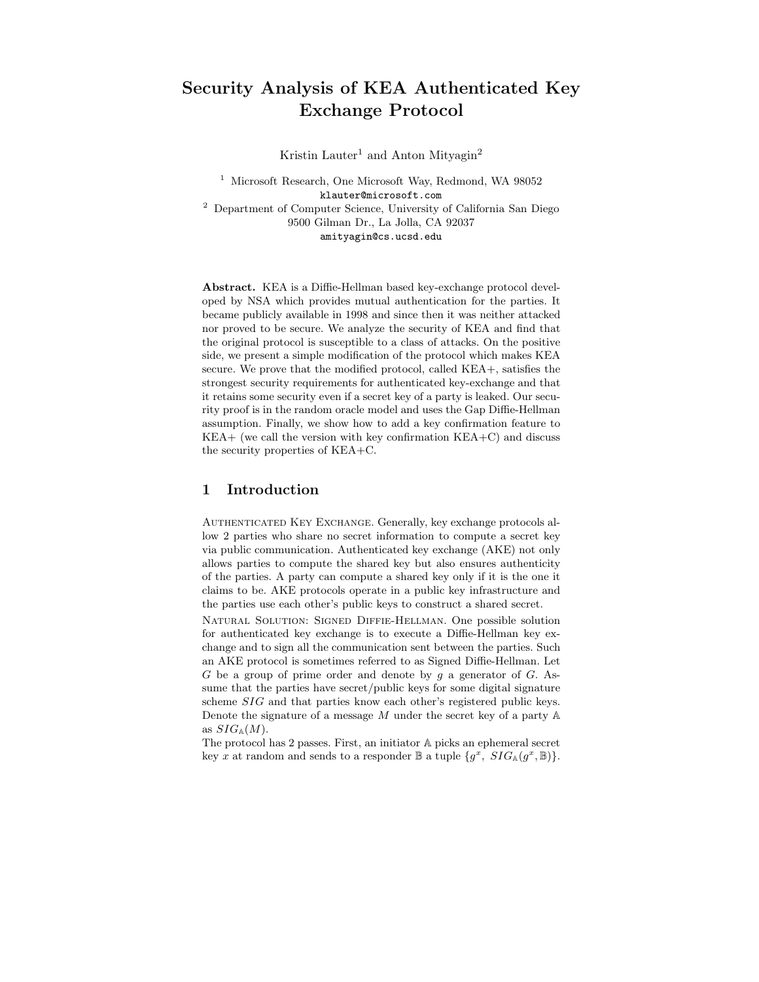# Security Analysis of KEA Authenticated Key Exchange Protocol

Kristin Lauter<sup>1</sup> and Anton Mityagin<sup>2</sup>

<sup>1</sup> Microsoft Research, One Microsoft Way, Redmond, WA 98052 klauter@microsoft.com <sup>2</sup> Department of Computer Science, University of California San Diego 9500 Gilman Dr., La Jolla, CA 92037 amityagin@cs.ucsd.edu

Abstract. KEA is a Diffie-Hellman based key-exchange protocol developed by NSA which provides mutual authentication for the parties. It became publicly available in 1998 and since then it was neither attacked nor proved to be secure. We analyze the security of KEA and find that the original protocol is susceptible to a class of attacks. On the positive side, we present a simple modification of the protocol which makes KEA secure. We prove that the modified protocol, called KEA+, satisfies the strongest security requirements for authenticated key-exchange and that it retains some security even if a secret key of a party is leaked. Our security proof is in the random oracle model and uses the Gap Diffie-Hellman assumption. Finally, we show how to add a key confirmation feature to  $KEA+$  (we call the version with key confirmation  $KEA+C$ ) and discuss the security properties of KEA+C.

## 1 Introduction

Authenticated Key Exchange. Generally, key exchange protocols allow 2 parties who share no secret information to compute a secret key via public communication. Authenticated key exchange (AKE) not only allows parties to compute the shared key but also ensures authenticity of the parties. A party can compute a shared key only if it is the one it claims to be. AKE protocols operate in a public key infrastructure and the parties use each other's public keys to construct a shared secret.

Natural Solution: Signed Diffie-Hellman. One possible solution for authenticated key exchange is to execute a Diffie-Hellman key exchange and to sign all the communication sent between the parties. Such an AKE protocol is sometimes referred to as Signed Diffie-Hellman. Let  $G$  be a group of prime order and denote by  $g$  a generator of  $G$ . Assume that the parties have secret/public keys for some digital signature scheme SIG and that parties know each other's registered public keys. Denote the signature of a message  $M$  under the secret key of a party  $A$ as  $SIG_{\mathbb{A}}(M)$ .

The protocol has 2 passes. First, an initiator A picks an ephemeral secret key x at random and sends to a responder  $\mathbb B$  a tuple  $\{g^x, SIG_{\mathbb A}(g^x, \mathbb B)\}.$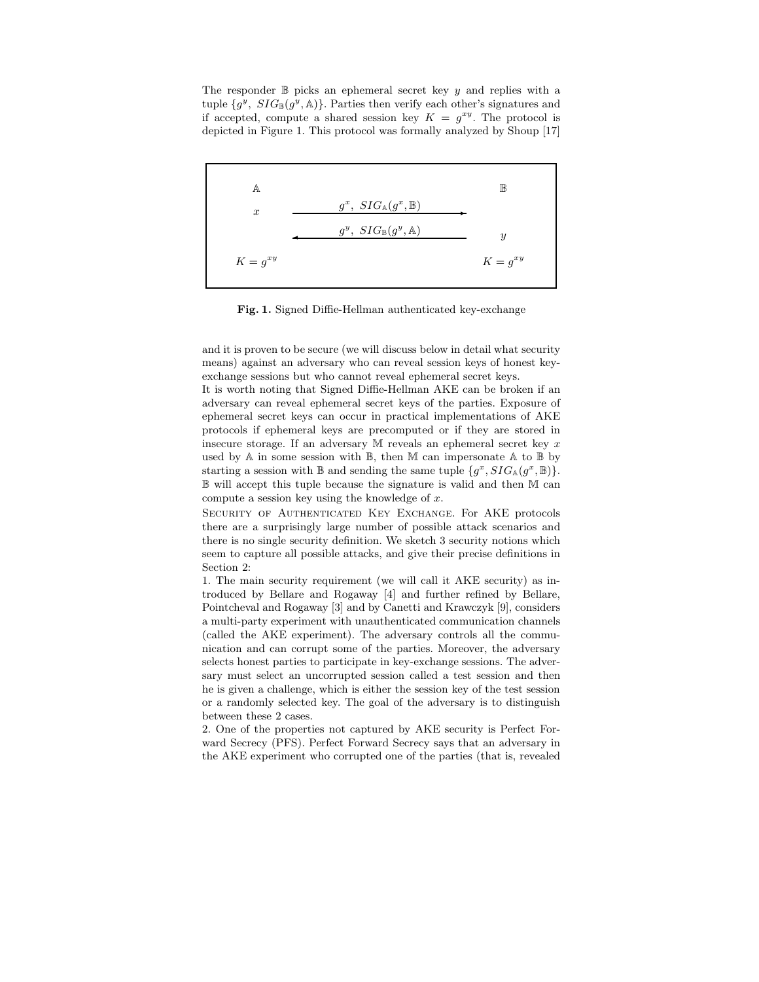The responder  $\mathbb B$  picks an ephemeral secret key y and replies with a tuple  $\{q^y, SIG_{\mathbb{B}}(q^y, \mathbb{A})\}$ . Parties then verify each other's signatures and if accepted, compute a shared session key  $K = q^{xy}$ . The protocol is depicted in Figure 1. This protocol was formally analyzed by Shoup [17]



Fig. 1. Signed Diffie-Hellman authenticated key-exchange

and it is proven to be secure (we will discuss below in detail what security means) against an adversary who can reveal session keys of honest keyexchange sessions but who cannot reveal ephemeral secret keys.

It is worth noting that Signed Diffie-Hellman AKE can be broken if an adversary can reveal ephemeral secret keys of the parties. Exposure of ephemeral secret keys can occur in practical implementations of AKE protocols if ephemeral keys are precomputed or if they are stored in insecure storage. If an adversary  $M$  reveals an ephemeral secret key  $x$ used by  $A$  in some session with  $B$ , then  $M$  can impersonate  $A$  to  $B$  by starting a session with  $\mathbb B$  and sending the same tuple  $\{g^x, SIG_{\mathbb A}(g^x, \mathbb B)\}.$ B will accept this tuple because the signature is valid and then M can compute a session key using the knowledge of  $x$ .

Security of Authenticated Key Exchange. For AKE protocols there are a surprisingly large number of possible attack scenarios and there is no single security definition. We sketch 3 security notions which seem to capture all possible attacks, and give their precise definitions in Section 2:

1. The main security requirement (we will call it AKE security) as introduced by Bellare and Rogaway [4] and further refined by Bellare, Pointcheval and Rogaway [3] and by Canetti and Krawczyk [9], considers a multi-party experiment with unauthenticated communication channels (called the AKE experiment). The adversary controls all the communication and can corrupt some of the parties. Moreover, the adversary selects honest parties to participate in key-exchange sessions. The adversary must select an uncorrupted session called a test session and then he is given a challenge, which is either the session key of the test session or a randomly selected key. The goal of the adversary is to distinguish between these 2 cases.

2. One of the properties not captured by AKE security is Perfect Forward Secrecy (PFS). Perfect Forward Secrecy says that an adversary in the AKE experiment who corrupted one of the parties (that is, revealed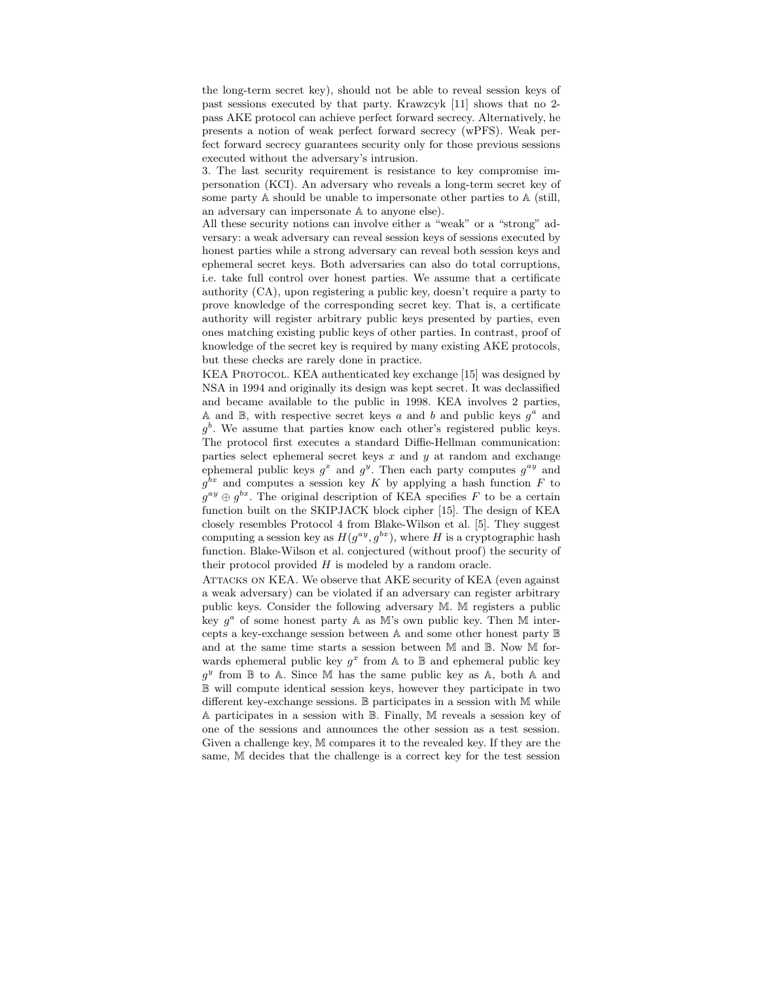the long-term secret key), should not be able to reveal session keys of past sessions executed by that party. Krawzcyk [11] shows that no 2 pass AKE protocol can achieve perfect forward secrecy. Alternatively, he presents a notion of weak perfect forward secrecy (wPFS). Weak perfect forward secrecy guarantees security only for those previous sessions executed without the adversary's intrusion.

3. The last security requirement is resistance to key compromise impersonation (KCI). An adversary who reveals a long-term secret key of some party A should be unable to impersonate other parties to A (still, an adversary can impersonate A to anyone else).

All these security notions can involve either a "weak" or a "strong" adversary: a weak adversary can reveal session keys of sessions executed by honest parties while a strong adversary can reveal both session keys and ephemeral secret keys. Both adversaries can also do total corruptions, i.e. take full control over honest parties. We assume that a certificate authority (CA), upon registering a public key, doesn't require a party to prove knowledge of the corresponding secret key. That is, a certificate authority will register arbitrary public keys presented by parties, even ones matching existing public keys of other parties. In contrast, proof of knowledge of the secret key is required by many existing AKE protocols, but these checks are rarely done in practice.

KEA PROTOCOL. KEA authenticated key exchange [15] was designed by NSA in 1994 and originally its design was kept secret. It was declassified and became available to the public in 1998. KEA involves 2 parties, A and B, with respective secret keys a and b and public keys  $q^a$  and  $g<sup>b</sup>$ . We assume that parties know each other's registered public keys. The protocol first executes a standard Diffie-Hellman communication: parties select ephemeral secret keys  $x$  and  $y$  at random and exchange ephemeral public keys  $g^x$  and  $g^y$ . Then each party computes  $g^{ay}$  and  $g^{\bar{b}x}$  and computes a session key K by applying a hash function F to  $q^{ay} \oplus q^{bx}$ . The original description of KEA specifies F to be a certain function built on the SKIPJACK block cipher [15]. The design of KEA closely resembles Protocol 4 from Blake-Wilson et al. [5]. They suggest computing a session key as  $H(g^{ay}, g^{bx})$ , where H is a cryptographic hash function. Blake-Wilson et al. conjectured (without proof) the security of their protocol provided  $H$  is modeled by a random oracle.

ATTACKS ON KEA. We observe that AKE security of KEA (even against a weak adversary) can be violated if an adversary can register arbitrary public keys. Consider the following adversary M. M registers a public key  $g^a$  of some honest party A as M's own public key. Then M intercepts a key-exchange session between A and some other honest party B and at the same time starts a session between M and B. Now M forwards ephemeral public key  $g^x$  from A to B and ephemeral public key  $g^y$  from  $\mathbb B$  to A. Since M has the same public key as A, both A and B will compute identical session keys, however they participate in two different key-exchange sessions. B participates in a session with M while A participates in a session with B. Finally, M reveals a session key of one of the sessions and announces the other session as a test session. Given a challenge key, M compares it to the revealed key. If they are the same, M decides that the challenge is a correct key for the test session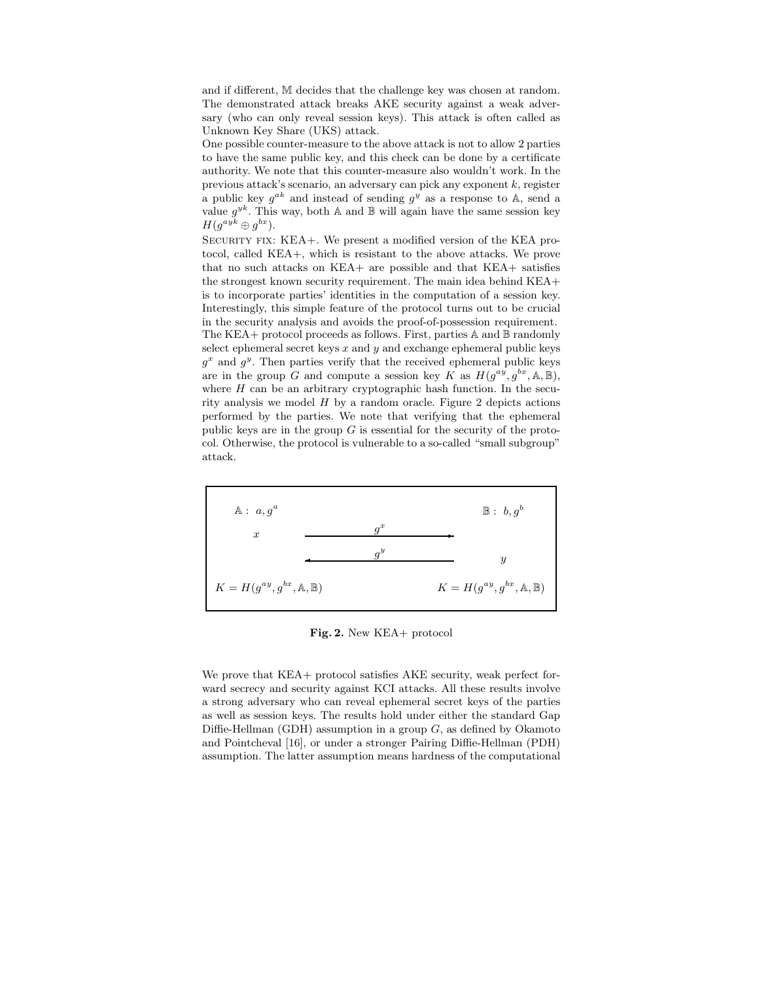and if different, M decides that the challenge key was chosen at random. The demonstrated attack breaks AKE security against a weak adversary (who can only reveal session keys). This attack is often called as Unknown Key Share (UKS) attack.

One possible counter-measure to the above attack is not to allow 2 parties to have the same public key, and this check can be done by a certificate authority. We note that this counter-measure also wouldn't work. In the previous attack's scenario, an adversary can pick any exponent k, register a public key  $g^{ak}$  and instead of sending  $g^y$  as a response to A, send a value  $g^{yk}$ . This way, both A and B will again have the same session key  $H(g^{ayk} \oplus g^{bx}).$ 

SECURITY FIX: KEA+. We present a modified version of the KEA protocol, called KEA+, which is resistant to the above attacks. We prove that no such attacks on KEA+ are possible and that KEA+ satisfies the strongest known security requirement. The main idea behind KEA+ is to incorporate parties' identities in the computation of a session key. Interestingly, this simple feature of the protocol turns out to be crucial in the security analysis and avoids the proof-of-possession requirement. The KEA+ protocol proceeds as follows. First, parties  $A$  and  $B$  randomly select ephemeral secret keys  $x$  and  $y$  and exchange ephemeral public keys  $g^x$  and  $g^y$ . Then parties verify that the received ephemeral public keys are in the group G and compute a session key K as  $H(g^{ay}, g^{bx}, A, B)$ , where  $H$  can be an arbitrary cryptographic hash function. In the security analysis we model  $H$  by a random oracle. Figure 2 depicts actions performed by the parties. We note that verifying that the ephemeral public keys are in the group  $G$  is essential for the security of the protocol. Otherwise, the protocol is vulnerable to a so-called "small subgroup" attack.



Fig. 2. New KEA+ protocol

We prove that KEA+ protocol satisfies AKE security, weak perfect forward secrecy and security against KCI attacks. All these results involve a strong adversary who can reveal ephemeral secret keys of the parties as well as session keys. The results hold under either the standard Gap Diffie-Hellman (GDH) assumption in a group  $G$ , as defined by Okamoto and Pointcheval [16], or under a stronger Pairing Diffie-Hellman (PDH) assumption. The latter assumption means hardness of the computational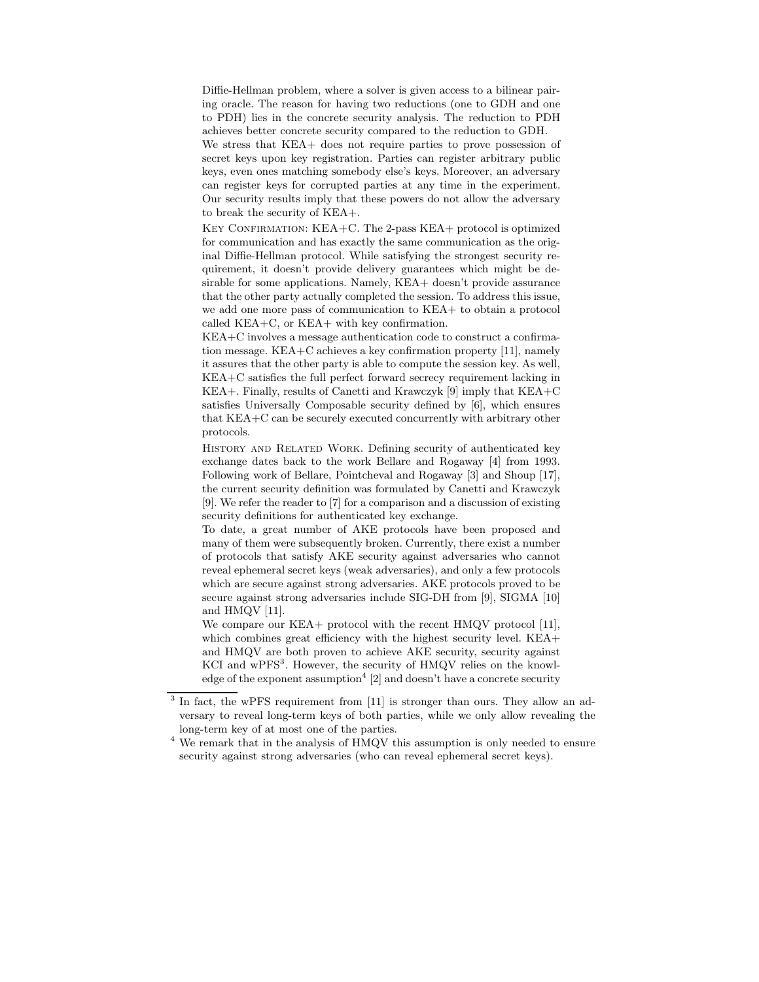Diffie-Hellman problem, where a solver is given access to a bilinear pairing oracle. The reason for having two reductions (one to GDH and one to PDH) lies in the concrete security analysis. The reduction to PDH achieves better concrete security compared to the reduction to GDH.

We stress that KEA+ does not require parties to prove possession of secret keys upon key registration. Parties can register arbitrary public keys, even ones matching somebody else's keys. Moreover, an adversary can register keys for corrupted parties at any time in the experiment. Our security results imply that these powers do not allow the adversary to break the security of KEA+.

KEY CONFIRMATION:  $KEA+C$ . The 2-pass  $KEA+$  protocol is optimized for communication and has exactly the same communication as the original Diffie-Hellman protocol. While satisfying the strongest security requirement, it doesn't provide delivery guarantees which might be desirable for some applications. Namely, KEA+ doesn't provide assurance that the other party actually completed the session. To address this issue, we add one more pass of communication to KEA+ to obtain a protocol called KEA+C, or KEA+ with key confirmation.

KEA+C involves a message authentication code to construct a confirmation message. KEA+C achieves a key confirmation property [11], namely it assures that the other party is able to compute the session key. As well, KEA+C satisfies the full perfect forward secrecy requirement lacking in KEA+. Finally, results of Canetti and Krawczyk [9] imply that KEA+C satisfies Universally Composable security defined by [6], which ensures that KEA+C can be securely executed concurrently with arbitrary other protocols.

History and Related Work. Defining security of authenticated key exchange dates back to the work Bellare and Rogaway [4] from 1993. Following work of Bellare, Pointcheval and Rogaway [3] and Shoup [17], the current security definition was formulated by Canetti and Krawczyk [9]. We refer the reader to [7] for a comparison and a discussion of existing security definitions for authenticated key exchange.

To date, a great number of AKE protocols have been proposed and many of them were subsequently broken. Currently, there exist a number of protocols that satisfy AKE security against adversaries who cannot reveal ephemeral secret keys (weak adversaries), and only a few protocols which are secure against strong adversaries. AKE protocols proved to be secure against strong adversaries include SIG-DH from [9], SIGMA [10] and HMQV [11].

We compare our KEA+ protocol with the recent HMQV protocol [11], which combines great efficiency with the highest security level. KEA+ and HMQV are both proven to achieve AKE security, security against KCI and wPFS<sup>3</sup>. However, the security of HMQV relies on the knowledge of the exponent assumption<sup>4</sup> [2] and doesn't have a concrete security

<sup>&</sup>lt;sup>3</sup> In fact, the wPFS requirement from [11] is stronger than ours. They allow an adversary to reveal long-term keys of both parties, while we only allow revealing the long-term key of at most one of the parties.

 $^4$  We remark that in the analysis of HMQV this assumption is only needed to ensure security against strong adversaries (who can reveal ephemeral secret keys).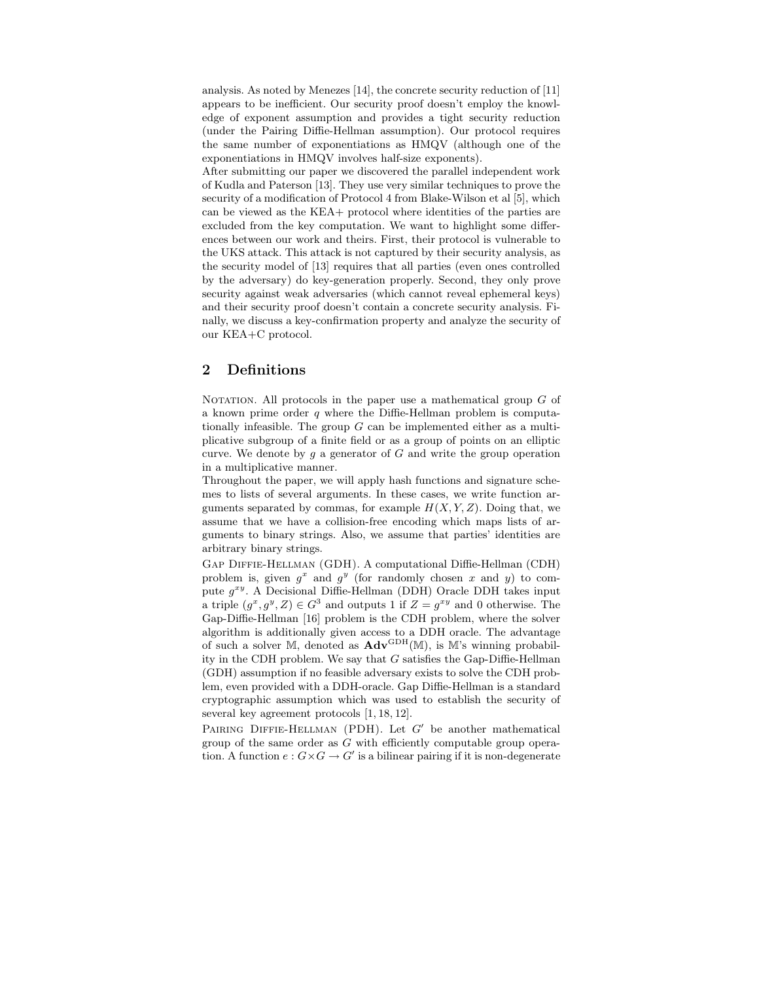analysis. As noted by Menezes [14], the concrete security reduction of [11] appears to be inefficient. Our security proof doesn't employ the knowledge of exponent assumption and provides a tight security reduction (under the Pairing Diffie-Hellman assumption). Our protocol requires the same number of exponentiations as HMQV (although one of the exponentiations in HMQV involves half-size exponents).

After submitting our paper we discovered the parallel independent work of Kudla and Paterson [13]. They use very similar techniques to prove the security of a modification of Protocol 4 from Blake-Wilson et al [5], which can be viewed as the KEA+ protocol where identities of the parties are excluded from the key computation. We want to highlight some differences between our work and theirs. First, their protocol is vulnerable to the UKS attack. This attack is not captured by their security analysis, as the security model of [13] requires that all parties (even ones controlled by the adversary) do key-generation properly. Second, they only prove security against weak adversaries (which cannot reveal ephemeral keys) and their security proof doesn't contain a concrete security analysis. Finally, we discuss a key-confirmation property and analyze the security of our KEA+C protocol.

#### 2 Definitions

NOTATION. All protocols in the paper use a mathematical group  $G$  of a known prime order  $q$  where the Diffie-Hellman problem is computationally infeasible. The group  $G$  can be implemented either as a multiplicative subgroup of a finite field or as a group of points on an elliptic curve. We denote by  $g$  a generator of  $G$  and write the group operation in a multiplicative manner.

Throughout the paper, we will apply hash functions and signature schemes to lists of several arguments. In these cases, we write function arguments separated by commas, for example  $H(X, Y, Z)$ . Doing that, we assume that we have a collision-free encoding which maps lists of arguments to binary strings. Also, we assume that parties' identities are arbitrary binary strings.

Gap Diffie-Hellman (GDH). A computational Diffie-Hellman (CDH) problem is, given  $g^x$  and  $g^y$  (for randomly chosen x and y) to compute  $g^{xy}$ . A Decisional Diffie-Hellman (DDH) Oracle DDH takes input a triple  $(g^x, g^y, Z) \in G^3$  and outputs 1 if  $Z = g^{xy}$  and 0 otherwise. The Gap-Diffie-Hellman [16] problem is the CDH problem, where the solver algorithm is additionally given access to a DDH oracle. The advantage of such a solver M, denoted as  $\text{Adv}^{\text{GDH}}(\mathbb{M})$ , is M's winning probability in the CDH problem. We say that  $G$  satisfies the Gap-Diffie-Hellman (GDH) assumption if no feasible adversary exists to solve the CDH problem, even provided with a DDH-oracle. Gap Diffie-Hellman is a standard cryptographic assumption which was used to establish the security of several key agreement protocols [1, 18, 12].

PAIRING DIFFIE-HELLMAN (PDH). Let  $G'$  be another mathematical group of the same order as  $G$  with efficiently computable group operation. A function  $e: G \times G \to G'$  is a bilinear pairing if it is non-degenerate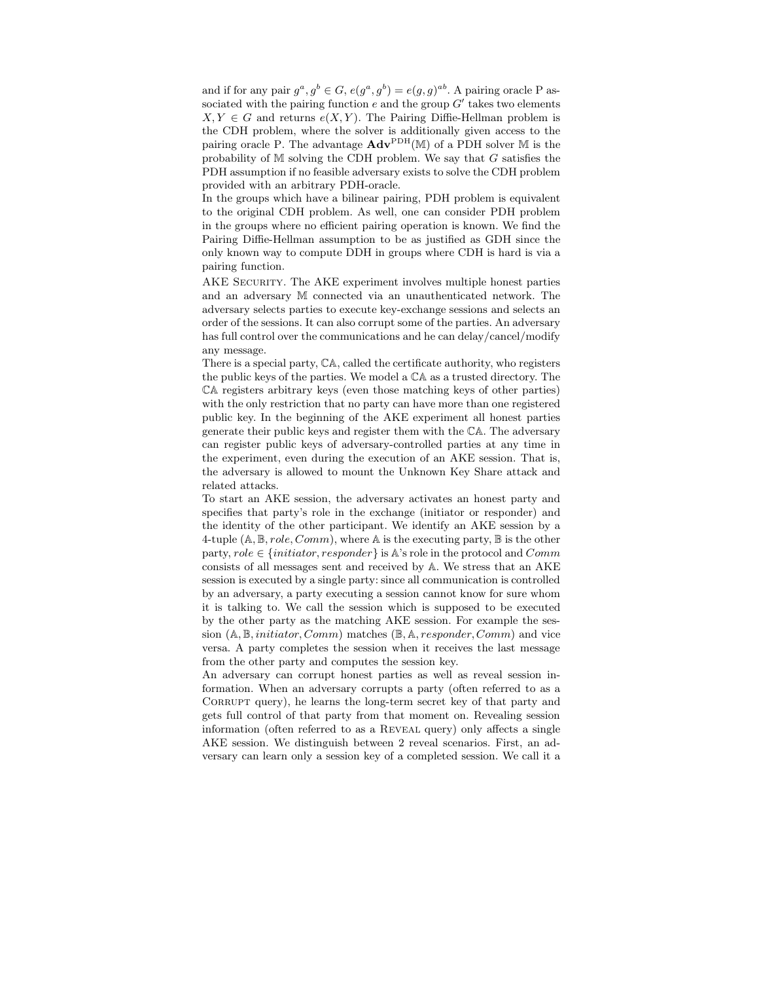and if for any pair  $g^a, g^b \in G$ ,  $e(g^a, g^b) = e(g, g)^{ab}$ . A pairing oracle P associated with the pairing function  $e$  and the group  $G'$  takes two elements  $X, Y \in G$  and returns  $e(X, Y)$ . The Pairing Diffie-Hellman problem is the CDH problem, where the solver is additionally given access to the pairing oracle P. The advantage  $\text{Adv}^{\text{PDH}}(\mathbb{M})$  of a PDH solver  $\mathbb M$  is the probability of  $M$  solving the CDH problem. We say that  $G$  satisfies the PDH assumption if no feasible adversary exists to solve the CDH problem provided with an arbitrary PDH-oracle.

In the groups which have a bilinear pairing, PDH problem is equivalent to the original CDH problem. As well, one can consider PDH problem in the groups where no efficient pairing operation is known. We find the Pairing Diffie-Hellman assumption to be as justified as GDH since the only known way to compute DDH in groups where CDH is hard is via a pairing function.

AKE SECURITY. The AKE experiment involves multiple honest parties and an adversary M connected via an unauthenticated network. The adversary selects parties to execute key-exchange sessions and selects an order of the sessions. It can also corrupt some of the parties. An adversary has full control over the communications and he can delay/cancel/modify any message.

There is a special party, CA, called the certificate authority, who registers the public keys of the parties. We model a CA as a trusted directory. The CA registers arbitrary keys (even those matching keys of other parties) with the only restriction that no party can have more than one registered public key. In the beginning of the AKE experiment all honest parties generate their public keys and register them with the CA. The adversary can register public keys of adversary-controlled parties at any time in the experiment, even during the execution of an AKE session. That is, the adversary is allowed to mount the Unknown Key Share attack and related attacks.

To start an AKE session, the adversary activates an honest party and specifies that party's role in the exchange (initiator or responder) and the identity of the other participant. We identify an AKE session by a 4-tuple  $(A, B, role, Comm)$ , where A is the executing party, B is the other party,  $role \in \{initiator, responder\}$  is A's role in the protocol and  $Comm$ consists of all messages sent and received by A. We stress that an AKE session is executed by a single party: since all communication is controlled by an adversary, a party executing a session cannot know for sure whom it is talking to. We call the session which is supposed to be executed by the other party as the matching AKE session. For example the session  $(A, B, initiator, Comm)$  matches  $(B, A, responder, Comm)$  and vice versa. A party completes the session when it receives the last message from the other party and computes the session key.

An adversary can corrupt honest parties as well as reveal session information. When an adversary corrupts a party (often referred to as a CORRUPT query), he learns the long-term secret key of that party and gets full control of that party from that moment on. Revealing session information (often referred to as a Reveal query) only affects a single AKE session. We distinguish between 2 reveal scenarios. First, an adversary can learn only a session key of a completed session. We call it a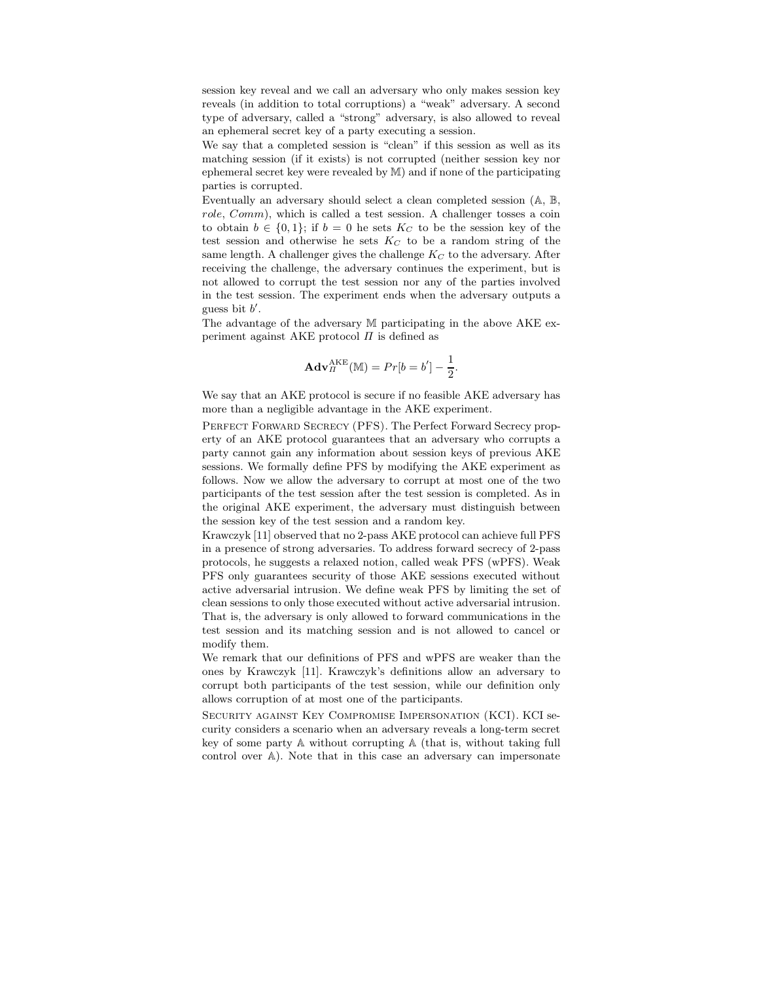session key reveal and we call an adversary who only makes session key reveals (in addition to total corruptions) a "weak" adversary. A second type of adversary, called a "strong" adversary, is also allowed to reveal an ephemeral secret key of a party executing a session.

We say that a completed session is "clean" if this session as well as its matching session (if it exists) is not corrupted (neither session key nor ephemeral secret key were revealed by M) and if none of the participating parties is corrupted.

Eventually an adversary should select a clean completed session (A, B, role, Comm), which is called a test session. A challenger tosses a coin to obtain  $b \in \{0, 1\}$ ; if  $b = 0$  he sets  $K_C$  to be the session key of the test session and otherwise he sets  $K_C$  to be a random string of the same length. A challenger gives the challenge  $K_C$  to the adversary. After receiving the challenge, the adversary continues the experiment, but is not allowed to corrupt the test session nor any of the parties involved in the test session. The experiment ends when the adversary outputs a guess bit  $b'$ .

The advantage of the adversary M participating in the above AKE experiment against AKE protocol  $\Pi$  is defined as

$$
\mathbf{Adv}_{\Pi}^{\text{AKE}}(\mathbb{M}) = Pr[b = b'] - \frac{1}{2}.
$$

We say that an AKE protocol is secure if no feasible AKE adversary has more than a negligible advantage in the AKE experiment.

Perfect Forward Secrecy (PFS). The Perfect Forward Secrecy property of an AKE protocol guarantees that an adversary who corrupts a party cannot gain any information about session keys of previous AKE sessions. We formally define PFS by modifying the AKE experiment as follows. Now we allow the adversary to corrupt at most one of the two participants of the test session after the test session is completed. As in the original AKE experiment, the adversary must distinguish between the session key of the test session and a random key.

Krawczyk [11] observed that no 2-pass AKE protocol can achieve full PFS in a presence of strong adversaries. To address forward secrecy of 2-pass protocols, he suggests a relaxed notion, called weak PFS (wPFS). Weak PFS only guarantees security of those AKE sessions executed without active adversarial intrusion. We define weak PFS by limiting the set of clean sessions to only those executed without active adversarial intrusion. That is, the adversary is only allowed to forward communications in the test session and its matching session and is not allowed to cancel or modify them.

We remark that our definitions of PFS and wPFS are weaker than the ones by Krawczyk [11]. Krawczyk's definitions allow an adversary to corrupt both participants of the test session, while our definition only allows corruption of at most one of the participants.

Security against Key Compromise Impersonation (KCI). KCI security considers a scenario when an adversary reveals a long-term secret key of some party A without corrupting A (that is, without taking full control over A). Note that in this case an adversary can impersonate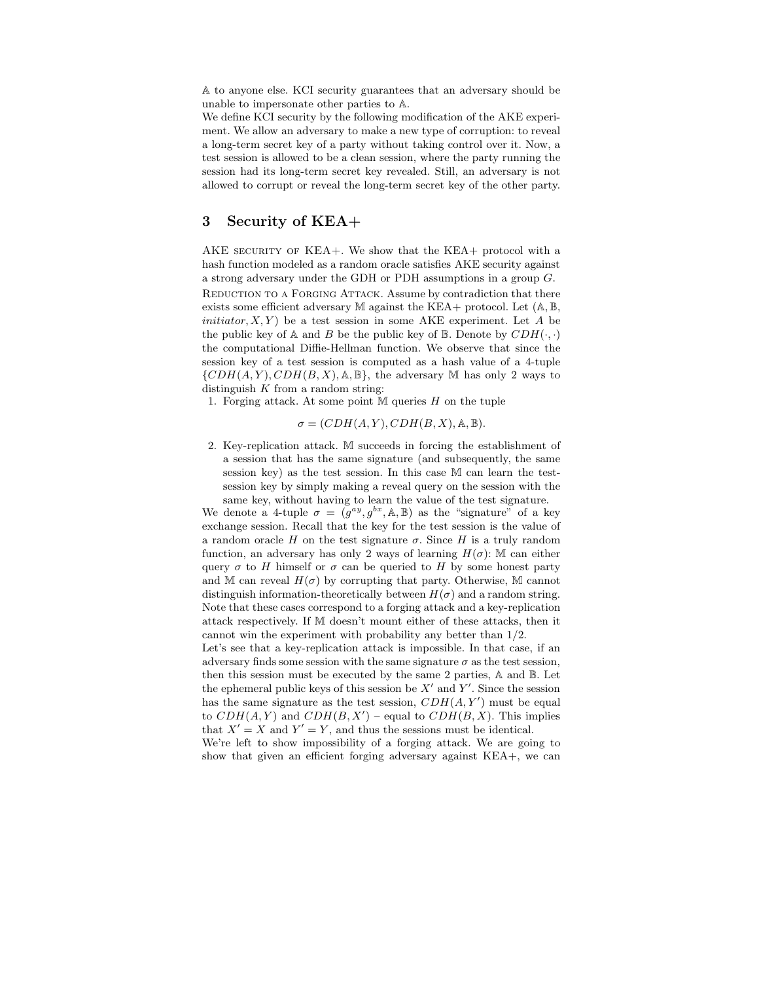A to anyone else. KCI security guarantees that an adversary should be unable to impersonate other parties to A.

We define KCI security by the following modification of the AKE experiment. We allow an adversary to make a new type of corruption: to reveal a long-term secret key of a party without taking control over it. Now, a test session is allowed to be a clean session, where the party running the session had its long-term secret key revealed. Still, an adversary is not allowed to corrupt or reveal the long-term secret key of the other party.

### 3 Security of KEA+

AKE SECURITY OF KEA+. We show that the KEA+ protocol with a hash function modeled as a random oracle satisfies AKE security against a strong adversary under the GDH or PDH assumptions in a group G. REDUCTION TO A FORGING ATTACK. Assume by contradiction that there exists some efficient adversary  $M$  against the KEA+ protocol. Let  $(A, B, A)$ *initiator, X, Y*) be a test session in some AKE experiment. Let A be the public key of A and B be the public key of B. Denote by  $CDH(\cdot, \cdot)$ the computational Diffie-Hellman function. We observe that since the session key of a test session is computed as a hash value of a 4-tuple  $\{CDH(A, Y), CDH(B, X), \mathbb{A}, \mathbb{B}\},$  the adversary M has only 2 ways to distinguish  $K$  from a random string:

1. Forging attack. At some point  $M$  queries  $H$  on the tuple

 $\sigma = (CDH(A, Y), CDH(B, X), \mathbb{A}, \mathbb{B}).$ 

2. Key-replication attack. M succeeds in forcing the establishment of a session that has the same signature (and subsequently, the same session key) as the test session. In this case M can learn the testsession key by simply making a reveal query on the session with the same key, without having to learn the value of the test signature.

We denote a 4-tuple  $\sigma = (q^{ay}, q^{bx}, A, B)$  as the "signature" of a key exchange session. Recall that the key for the test session is the value of a random oracle H on the test signature  $\sigma$ . Since H is a truly random function, an adversary has only 2 ways of learning  $H(\sigma)$ : M can either query  $\sigma$  to H himself or  $\sigma$  can be queried to H by some honest party and M can reveal  $H(\sigma)$  by corrupting that party. Otherwise, M cannot distinguish information-theoretically between  $H(\sigma)$  and a random string. Note that these cases correspond to a forging attack and a key-replication attack respectively. If M doesn't mount either of these attacks, then it cannot win the experiment with probability any better than 1/2.

Let's see that a key-replication attack is impossible. In that case, if an adversary finds some session with the same signature  $\sigma$  as the test session, then this session must be executed by the same 2 parties, A and B. Let the ephemeral public keys of this session be  $X'$  and  $Y'$ . Since the session has the same signature as the test session,  $CDH(A, Y')$  must be equal to  $CDH(A, Y)$  and  $CDH(B, X')$  – equal to  $CDH(B, X)$ . This implies that  $X' = X$  and  $Y' = Y$ , and thus the sessions must be identical.

We're left to show impossibility of a forging attack. We are going to show that given an efficient forging adversary against KEA+, we can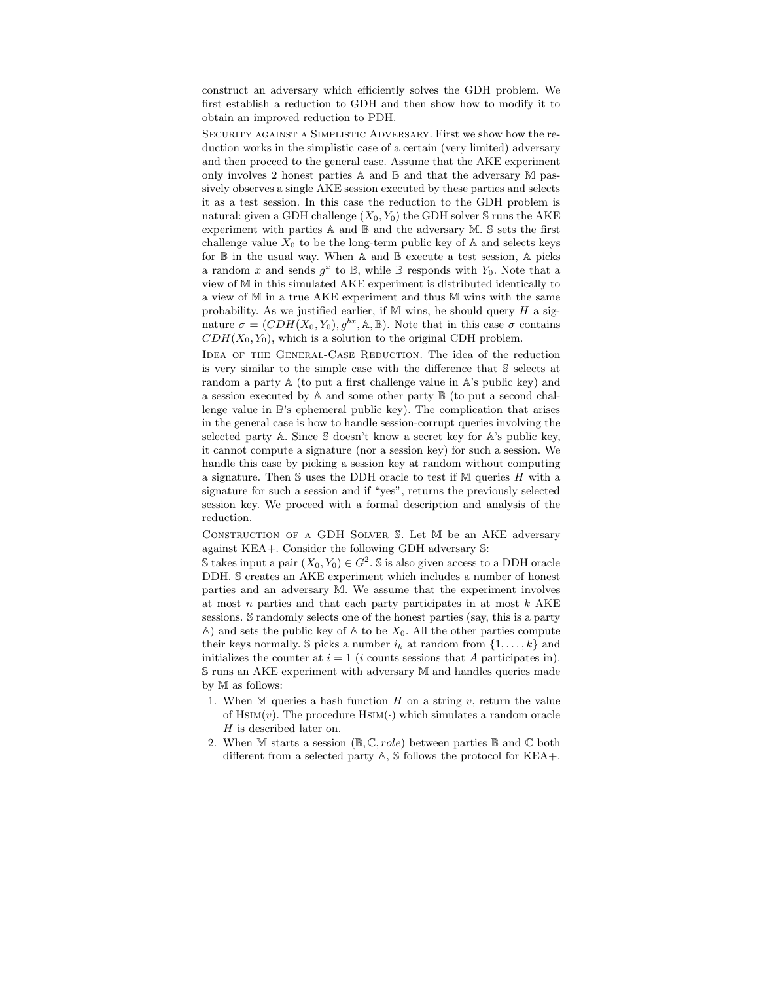construct an adversary which efficiently solves the GDH problem. We first establish a reduction to GDH and then show how to modify it to obtain an improved reduction to PDH.

Security against a Simplistic Adversary. First we show how the reduction works in the simplistic case of a certain (very limited) adversary and then proceed to the general case. Assume that the AKE experiment only involves 2 honest parties  $A$  and  $B$  and that the adversary  $M$  passively observes a single AKE session executed by these parties and selects it as a test session. In this case the reduction to the GDH problem is natural: given a GDH challenge  $(X_0, Y_0)$  the GDH solver S runs the AKE experiment with parties A and B and the adversary M. S sets the first challenge value  $X_0$  to be the long-term public key of  $A$  and selects keys for  $\mathbb B$  in the usual way. When  $\mathbb A$  and  $\mathbb B$  execute a test session,  $\mathbb A$  picks a random x and sends  $g^x$  to  $\mathbb{B}$ , while  $\mathbb{B}$  responds with  $Y_0$ . Note that a view of M in this simulated AKE experiment is distributed identically to a view of M in a true AKE experiment and thus M wins with the same probability. As we justified earlier, if  $M$  wins, he should query  $H$  a signature  $\sigma = (CDH(X_0, Y_0), g^{bx}, A, B)$ . Note that in this case  $\sigma$  contains  $CDH(X_0, Y_0)$ , which is a solution to the original CDH problem.

IDEA OF THE GENERAL-CASE REDUCTION. The idea of the reduction is very similar to the simple case with the difference that S selects at random a party A (to put a first challenge value in A's public key) and a session executed by A and some other party B (to put a second challenge value in B's ephemeral public key). The complication that arises in the general case is how to handle session-corrupt queries involving the selected party A. Since S doesn't know a secret key for A's public key, it cannot compute a signature (nor a session key) for such a session. We handle this case by picking a session key at random without computing a signature. Then  $S$  uses the DDH oracle to test if  $M$  queries  $H$  with a signature for such a session and if "yes", returns the previously selected session key. We proceed with a formal description and analysis of the reduction.

Construction of a GDH Solver S. Let M be an AKE adversary against KEA+. Consider the following GDH adversary S:

S takes input a pair  $(X_0, Y_0) \in G^2$ . S is also given access to a DDH oracle DDH. S creates an AKE experiment which includes a number of honest parties and an adversary M. We assume that the experiment involves at most  $n$  parties and that each party participates in at most  $k$  AKE sessions. S randomly selects one of the honest parties (say, this is a party  $A)$  and sets the public key of A to be  $X_0$ . All the other parties compute their keys normally. S picks a number  $i_k$  at random from  $\{1, \ldots, k\}$  and initializes the counter at  $i = 1$  (*i* counts sessions that A participates in). S runs an AKE experiment with adversary M and handles queries made by M as follows:

- 1. When  $M$  queries a hash function  $H$  on a string  $v$ , return the value of  $H\text{SIM}(v)$ . The procedure  $H\text{SIM}(\cdot)$  which simulates a random oracle  $H$  is described later on.
- 2. When M starts a session  $(\mathbb{B}, \mathbb{C}, role)$  between parties  $\mathbb{B}$  and  $\mathbb{C}$  both different from a selected party A, S follows the protocol for KEA+.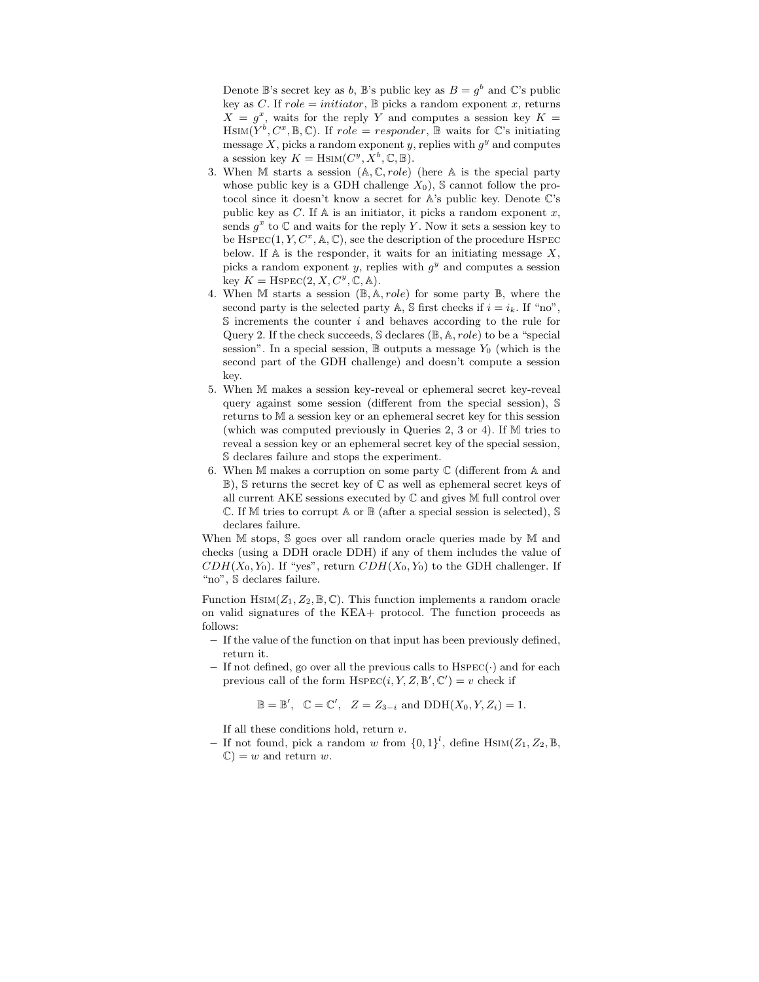Denote B's secret key as b, B's public key as  $B = g^b$  and C's public key as C. If  $role = initiator$ ,  $\mathbb B$  picks a random exponent x, returns  $X = g^x$ , waits for the reply Y and computes a session key  $K =$ HSIM( $Y^b$ ,  $C^x$ ,  $\mathbb{B}$ ,  $\mathbb{C}$ ). If role = responder,  $\mathbb{B}$  waits for  $\mathbb{C}$ 's initiating message X, picks a random exponent y, replies with  $g<sup>y</sup>$  and computes a session key  $K = \text{HSIM}(C^y, X^b, \mathbb{C}, \mathbb{B}).$ 

- 3. When M starts a session  $(A, \mathbb{C}, role)$  (here A is the special party whose public key is a GDH challenge  $X_0$ ), S cannot follow the protocol since it doesn't know a secret for A's public key. Denote C's public key as  $C$ . If  $A$  is an initiator, it picks a random exponent  $x$ , sends  $g^x$  to  $\mathbb C$  and waits for the reply Y. Now it sets a session key to be  $HSPEC(1, Y, C^x, A, \mathbb{C})$ , see the description of the procedure HSPEC below. If  $A$  is the responder, it waits for an initiating message  $X$ , picks a random exponent y, replies with  $g<sup>y</sup>$  and computes a session key  $K = \text{Hspec}(2, X, C^y, \mathbb{C}, \mathbb{A}).$
- 4. When M starts a session  $(\mathbb{B}, \mathbb{A}, role)$  for some party  $\mathbb{B}$ , where the second party is the selected party A, S first checks if  $i = i_k$ . If "no",  $S$  increments the counter i and behaves according to the rule for Query 2. If the check succeeds, S declares ( $\mathbb{B}$ , A, role) to be a "special session". In a special session,  $\mathbb B$  outputs a message  $Y_0$  (which is the second part of the GDH challenge) and doesn't compute a session key.
- 5. When M makes a session key-reveal or ephemeral secret key-reveal query against some session (different from the special session), S returns to M a session key or an ephemeral secret key for this session (which was computed previously in Queries 2, 3 or 4). If M tries to reveal a session key or an ephemeral secret key of the special session, S declares failure and stops the experiment.
- 6. When M makes a corruption on some party  $\mathbb C$  (different from A and  $\mathbb{B}$ ), S returns the secret key of  $\mathbb{C}$  as well as ephemeral secret keys of all current AKE sessions executed by C and gives M full control over  $\mathbb C$ . If M tries to corrupt A or  $\mathbb B$  (after a special session is selected),  $\mathbb S$ declares failure.

When M stops, S goes over all random oracle queries made by M and checks (using a DDH oracle DDH) if any of them includes the value of  $CDH(X_0, Y_0)$ . If "yes", return  $CDH(X_0, Y_0)$  to the GDH challenger. If "no", S declares failure.

Function  $H\text{SIM}(Z_1, Z_2, \mathbb{B}, \mathbb{C})$ . This function implements a random oracle on valid signatures of the KEA+ protocol. The function proceeds as follows:

- If the value of the function on that input has been previously defined, return it.
- If not defined, go over all the previous calls to  $HSpec(\cdot)$  and for each previous call of the form  $HSPEC(i, Y, Z, \mathbb{B}', \mathbb{C}') = v$  check if

$$
\mathbb{B} = \mathbb{B}', \quad \mathbb{C} = \mathbb{C}', \quad Z = Z_{3-i} \text{ and } \text{DDH}(X_0, Y, Z_i) = 1.
$$

If all these conditions hold, return  $v$ .

- If not found, pick a random w from  $\{0,1\}^l$ , define  $H\text{SIM}(Z_1, Z_2, \mathbb{B})$ ,  $\mathbb{C}$  = w and return w.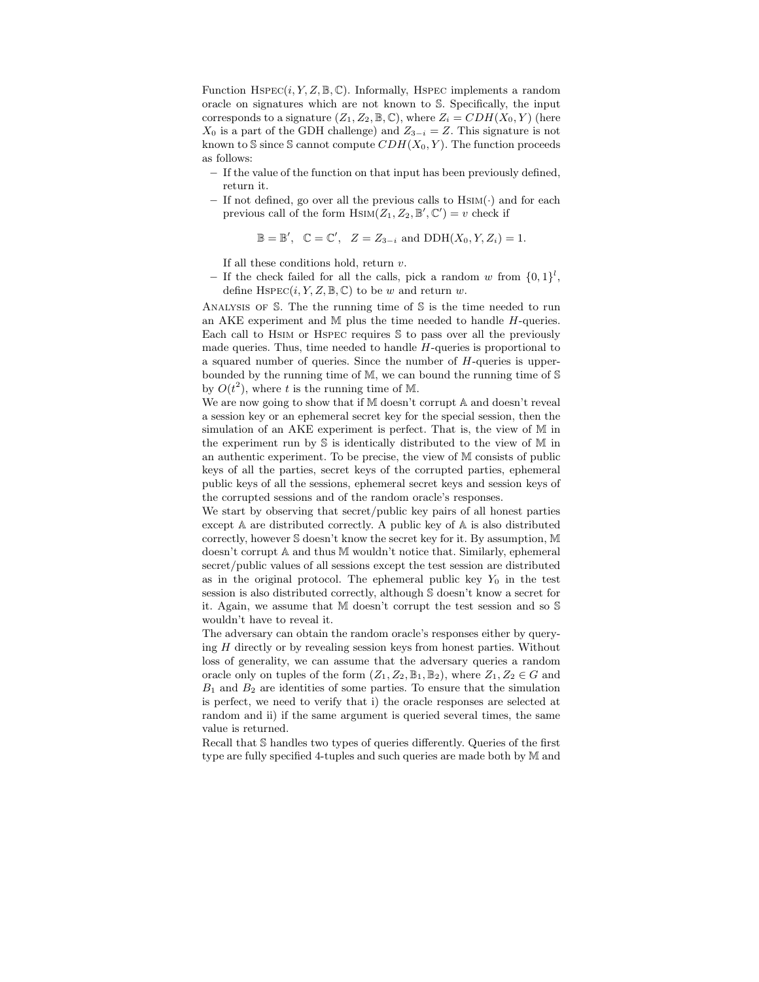Function  $HSpec(i, Y, Z, \mathbb{B}, \mathbb{C})$ . Informally, Hspec implements a random oracle on signatures which are not known to S. Specifically, the input corresponds to a signature  $(Z_1, Z_2, \mathbb{B}, \mathbb{C})$ , where  $Z_i = CDH(X_0, Y)$  (here  $X_0$  is a part of the GDH challenge) and  $Z_{3-i} = Z$ . This signature is not known to S since S cannot compute  $CDH(X_0, Y)$ . The function proceeds as follows:

- If the value of the function on that input has been previously defined, return it.
- If not defined, go over all the previous calls to  $H\text{SIM}(\cdot)$  and for each previous call of the form  $H\text{SIM}(Z_1, Z_2, \mathbb{B}', \mathbb{C}') = v$  check if

$$
\mathbb{B} = \mathbb{B}', \quad \mathbb{C} = \mathbb{C}', \quad Z = Z_{3-i} \text{ and } \text{DDH}(X_0, Y, Z_i) = 1.
$$

If all these conditions hold, return v.

– If the check failed for all the calls, pick a random w from  $\{0, 1\}^l$ , define  $HSpec(i, Y, Z, \mathbb{B}, \mathbb{C})$  to be w and return w.

Analysis of S. The the running time of S is the time needed to run an AKE experiment and  $M$  plus the time needed to handle  $H$ -queries. Each call to HSIM or HSPEC requires  $\mathcal S$  to pass over all the previously made queries. Thus, time needed to handle  $H$ -queries is proportional to a squared number of queries. Since the number of H-queries is upperbounded by the running time of M, we can bound the running time of S by  $O(t^2)$ , where t is the running time of M.

We are now going to show that if M doesn't corrupt A and doesn't reveal a session key or an ephemeral secret key for the special session, then the simulation of an AKE experiment is perfect. That is, the view of M in the experiment run by S is identically distributed to the view of M in an authentic experiment. To be precise, the view of M consists of public keys of all the parties, secret keys of the corrupted parties, ephemeral public keys of all the sessions, ephemeral secret keys and session keys of the corrupted sessions and of the random oracle's responses.

We start by observing that secret/public key pairs of all honest parties except A are distributed correctly. A public key of A is also distributed correctly, however S doesn't know the secret key for it. By assumption, M doesn't corrupt A and thus M wouldn't notice that. Similarly, ephemeral secret/public values of all sessions except the test session are distributed as in the original protocol. The ephemeral public key  $Y_0$  in the test session is also distributed correctly, although S doesn't know a secret for it. Again, we assume that M doesn't corrupt the test session and so S wouldn't have to reveal it.

The adversary can obtain the random oracle's responses either by querying  $H$  directly or by revealing session keys from honest parties. Without loss of generality, we can assume that the adversary queries a random oracle only on tuples of the form  $(Z_1, Z_2, \mathbb{B}_1, \mathbb{B}_2)$ , where  $Z_1, Z_2 \in G$  and  $B_1$  and  $B_2$  are identities of some parties. To ensure that the simulation is perfect, we need to verify that i) the oracle responses are selected at random and ii) if the same argument is queried several times, the same value is returned.

Recall that S handles two types of queries differently. Queries of the first type are fully specified 4-tuples and such queries are made both by M and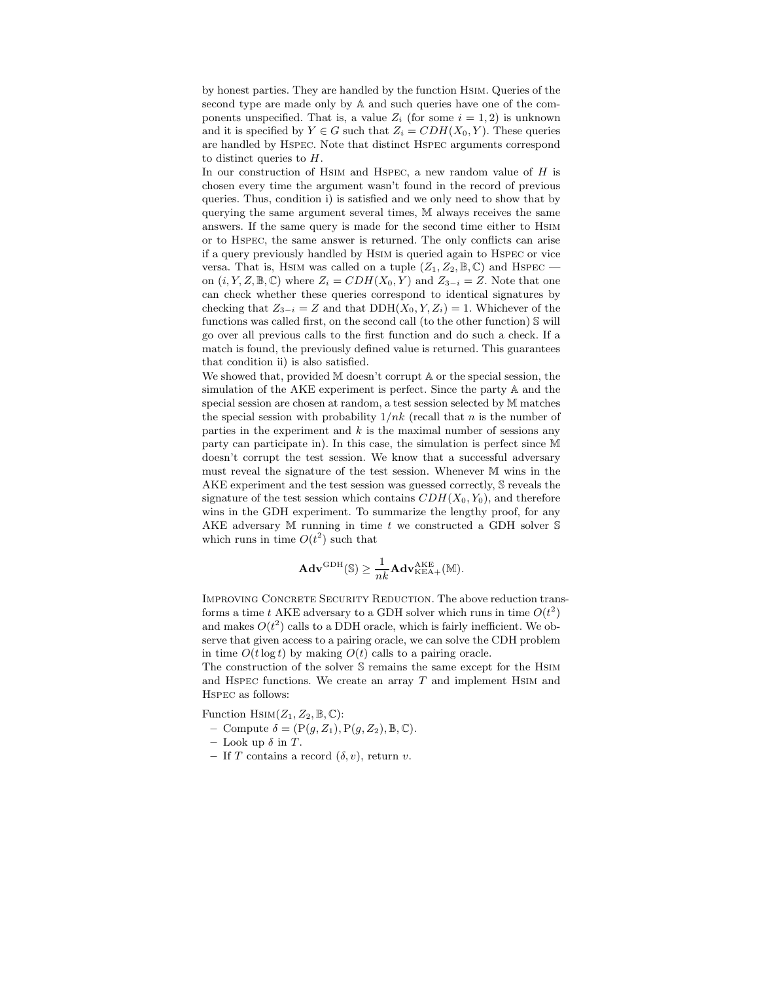by honest parties. They are handled by the function Hsim. Queries of the second type are made only by A and such queries have one of the components unspecified. That is, a value  $Z_i$  (for some  $i = 1, 2$ ) is unknown and it is specified by  $Y \in G$  such that  $Z_i = CDH(X_0, Y)$ . These queries are handled by Hspec. Note that distinct Hspec arguments correspond to distinct queries to  $H$ .

In our construction of HSIM and HSPEC, a new random value of H is chosen every time the argument wasn't found in the record of previous queries. Thus, condition i) is satisfied and we only need to show that by querying the same argument several times, M always receives the same answers. If the same query is made for the second time either to Hsim or to Hspec, the same answer is returned. The only conflicts can arise if a query previously handled by Hsim is queried again to Hspec or vice versa. That is, HSIM was called on a tuple  $(Z_1, Z_2, \mathbb{B}, \mathbb{C})$  and HSPEC – on  $(i, Y, Z, \mathbb{B}, \mathbb{C})$  where  $Z_i = CDH(X_0, Y)$  and  $Z_{3-i} = Z$ . Note that one can check whether these queries correspond to identical signatures by checking that  $Z_{3-i} = Z$  and that  $DDH(X_0, Y, Z_i) = 1$ . Whichever of the functions was called first, on the second call (to the other function) S will go over all previous calls to the first function and do such a check. If a match is found, the previously defined value is returned. This guarantees that condition ii) is also satisfied.

We showed that, provided  $M$  doesn't corrupt  $A$  or the special session, the simulation of the AKE experiment is perfect. Since the party A and the special session are chosen at random, a test session selected by M matches the special session with probability  $1/nk$  (recall that n is the number of parties in the experiment and  $k$  is the maximal number of sessions any party can participate in). In this case, the simulation is perfect since M doesn't corrupt the test session. We know that a successful adversary must reveal the signature of the test session. Whenever M wins in the AKE experiment and the test session was guessed correctly, S reveals the signature of the test session which contains  $CDH(X_0, Y_0)$ , and therefore wins in the GDH experiment. To summarize the lengthy proof, for any AKE adversary  $M$  running in time  $t$  we constructed a GDH solver  $S$ which runs in time  $O(t^2)$  such that

$$
\mathbf{Adv}^{\mathrm{GDH}}(\mathbb{S}) \ge \frac{1}{nk} \mathbf{Adv}_{\mathrm{KEA+}}^{\mathrm{AKE}}(\mathbb{M}).
$$

IMPROVING CONCRETE SECURITY REDUCTION. The above reduction transforms a time t AKE adversary to a GDH solver which runs in time  $O(t^2)$ and makes  $O(t^2)$  calls to a DDH oracle, which is fairly inefficient. We observe that given access to a pairing oracle, we can solve the CDH problem in time  $O(t \log t)$  by making  $O(t)$  calls to a pairing oracle.

The construction of the solver S remains the same except for the Hsim and HSPEC functions. We create an array  $T$  and implement HSIM and Hspec as follows:

Function  $H\text{SIM}(Z_1, Z_2, \mathbb{B}, \mathbb{C})$ :

- Compute  $\delta = (P(g, Z_1), P(g, Z_2), \mathbb{B}, \mathbb{C}).$
- Look up  $\delta$  in  $T$ .
- If T contains a record  $(\delta, v)$ , return v.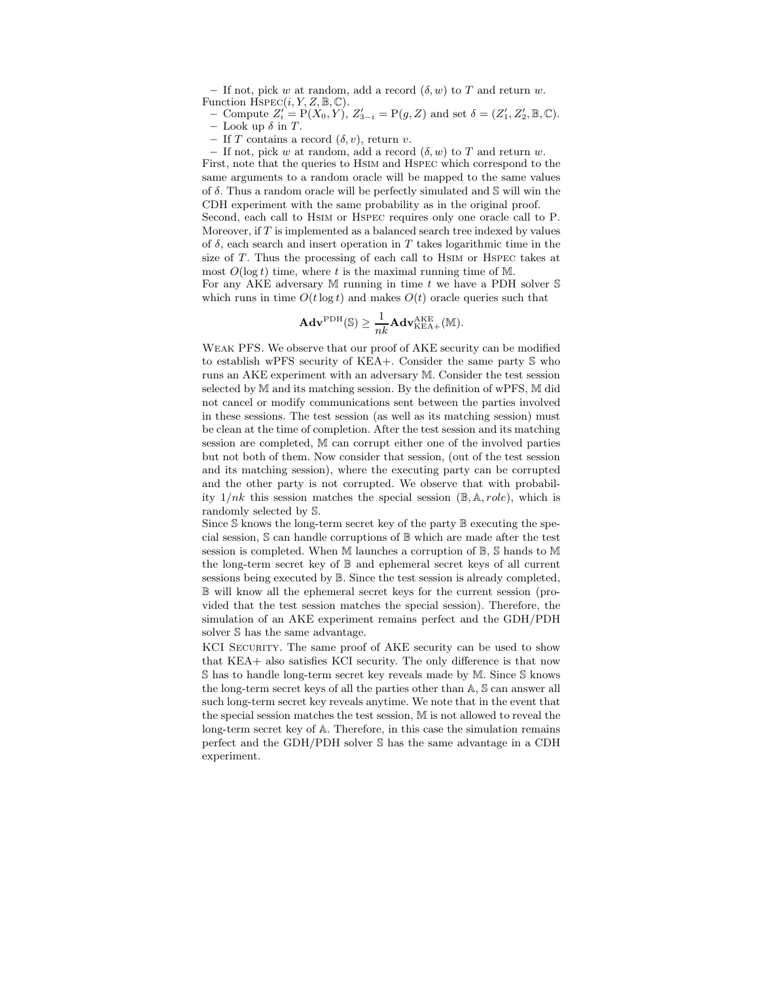– If not, pick w at random, add a record  $(\delta, w)$  to T and return w. Function  $HSPEC(i, Y, Z, \mathbb{B}, \mathbb{C}).$ 

- Compute  $Z_i' = P(X_0, Y), Z_{3-i}' = P(g, Z)$  and set  $\delta = (Z_1', Z_2', \mathbb{B}, \mathbb{C}).$ – Look up  $\delta$  in T.

– If T contains a record  $(\delta, v)$ , return v.

– If not, pick w at random, add a record  $(\delta, w)$  to T and return w.

First, note that the queries to Hsim and Hspec which correspond to the same arguments to a random oracle will be mapped to the same values of δ. Thus a random oracle will be perfectly simulated and S will win the CDH experiment with the same probability as in the original proof.

Second, each call to HSIM or HSPEC requires only one oracle call to P. Moreover, if  $T$  is implemented as a balanced search tree indexed by values of  $\delta$ , each search and insert operation in T takes logarithmic time in the size of T. Thus the processing of each call to Hsim or Hspec takes at most  $O(\log t)$  time, where t is the maximal running time of M.

For any AKE adversary  $M$  running in time t we have a PDH solver  $S$ which runs in time  $O(t \log t)$  and makes  $O(t)$  oracle queries such that

$$
\mathbf{Adv}^{\mathrm{PDH}}(\mathbb{S}) \geq \frac{1}{nk} \mathbf{Adv}_{\mathrm{KEA+}}^{\mathrm{AKE}}(\mathbb{M}).
$$

Weak PFS. We observe that our proof of AKE security can be modified to establish wPFS security of KEA+. Consider the same party S who runs an AKE experiment with an adversary M. Consider the test session selected by M and its matching session. By the definition of wPFS, M did not cancel or modify communications sent between the parties involved in these sessions. The test session (as well as its matching session) must be clean at the time of completion. After the test session and its matching session are completed, M can corrupt either one of the involved parties but not both of them. Now consider that session, (out of the test session and its matching session), where the executing party can be corrupted and the other party is not corrupted. We observe that with probability  $1/nk$  this session matches the special session ( $\mathbb{B}, \mathbb{A}, role$ ), which is randomly selected by S.

Since  $\mathcal S$  knows the long-term secret key of the party  $\mathbb B$  executing the special session, S can handle corruptions of B which are made after the test session is completed. When M launches a corruption of B, S hands to M the long-term secret key of B and ephemeral secret keys of all current sessions being executed by B. Since the test session is already completed, B will know all the ephemeral secret keys for the current session (provided that the test session matches the special session). Therefore, the simulation of an AKE experiment remains perfect and the GDH/PDH solver S has the same advantage.

KCI Security. The same proof of AKE security can be used to show that KEA+ also satisfies KCI security. The only difference is that now S has to handle long-term secret key reveals made by M. Since S knows the long-term secret keys of all the parties other than A, S can answer all such long-term secret key reveals anytime. We note that in the event that the special session matches the test session, M is not allowed to reveal the long-term secret key of A. Therefore, in this case the simulation remains perfect and the GDH/PDH solver S has the same advantage in a CDH experiment.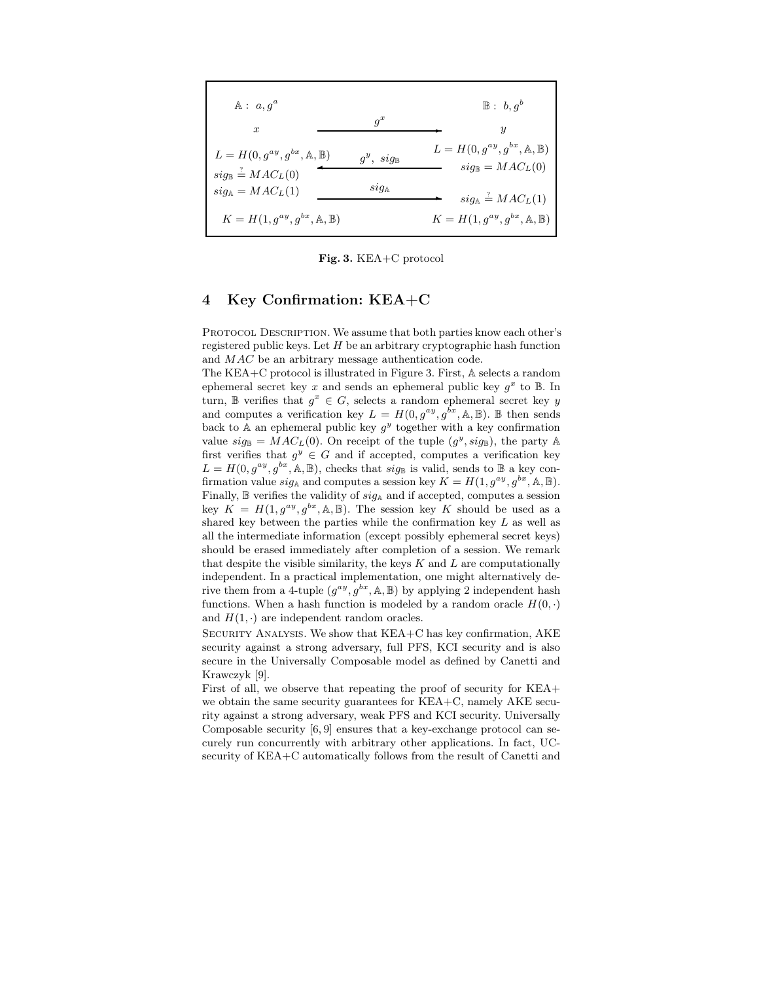A: 
$$
a, g^a
$$
  
\nB:  $b, g^b$   
\nC  
\nD  
\n $L = H(0, g^{ay}, g^{bx}, A, B)$   
\n $sig_B \stackrel{?}{=} MAC_L(0)$   
\n $sig_A = MAC_L(1)$   
\nE  
\n $H(0, g^{ay}, g^{bx}, A, B)$   
\n $sig_B = MAC_L(0)$   
\n $sig_A = MAC_L(1)$   
\n $sig_A = MAC_L(1)$   
\n $g^{ay}, g^{by}, A, B$   
\n $K = H(1, g^{ay}, g^{bx}, A, B)$ 

Fig. 3. KEA+C protocol

# 4 Key Confirmation: KEA+C

PROTOCOL DESCRIPTION. We assume that both parties know each other's registered public keys. Let  $H$  be an arbitrary cryptographic hash function and MAC be an arbitrary message authentication code.

The KEA+C protocol is illustrated in Figure 3. First, A selects a random ephemeral secret key x and sends an ephemeral public key  $g^x$  to  $\mathbb B$ . In turn, B verifies that  $g^x \in G$ , selects a random ephemeral secret key y and computes a verification key  $L = H(0, g^{ay}, g^{bx}, A, B)$ . B then sends back to A an ephemeral public key  $g<sup>y</sup>$  together with a key confirmation value  $sig_{\mathbb{B}} = MAC_L(0)$ . On receipt of the tuple  $(g^y, sig_{\mathbb{B}})$ , the party A first verifies that  $g^y \in G$  and if accepted, computes a verification key  $L = H(0, g^{ay}, g^{bx}, A, B)$ , checks that  $sig_B$  is valid, sends to B a key confirmation value  $sig_{\mathbb{A}}$  and computes a session key  $K = H(1, g^{ay}, g^{bx}, \mathbb{A}, \mathbb{B})$ . Finally,  $\mathbb B$  verifies the validity of  $sig_{\mathbb A}$  and if accepted, computes a session key  $K = H(1, g^{ay}, g^{bx}, A, B)$ . The session key K should be used as a shared key between the parties while the confirmation key  $L$  as well as all the intermediate information (except possibly ephemeral secret keys) should be erased immediately after completion of a session. We remark that despite the visible similarity, the keys  $K$  and  $L$  are computationally independent. In a practical implementation, one might alternatively derive them from a 4-tuple  $(g^{ay}, g^{bx}, A, B)$  by applying 2 independent hash functions. When a hash function is modeled by a random oracle  $H(0, \cdot)$ and  $H(1, \cdot)$  are independent random oracles.

Security Analysis. We show that KEA+C has key confirmation, AKE security against a strong adversary, full PFS, KCI security and is also secure in the Universally Composable model as defined by Canetti and Krawczyk [9].

First of all, we observe that repeating the proof of security for KEA+ we obtain the same security guarantees for KEA+C, namely AKE security against a strong adversary, weak PFS and KCI security. Universally Composable security [6, 9] ensures that a key-exchange protocol can securely run concurrently with arbitrary other applications. In fact, UCsecurity of KEA+C automatically follows from the result of Canetti and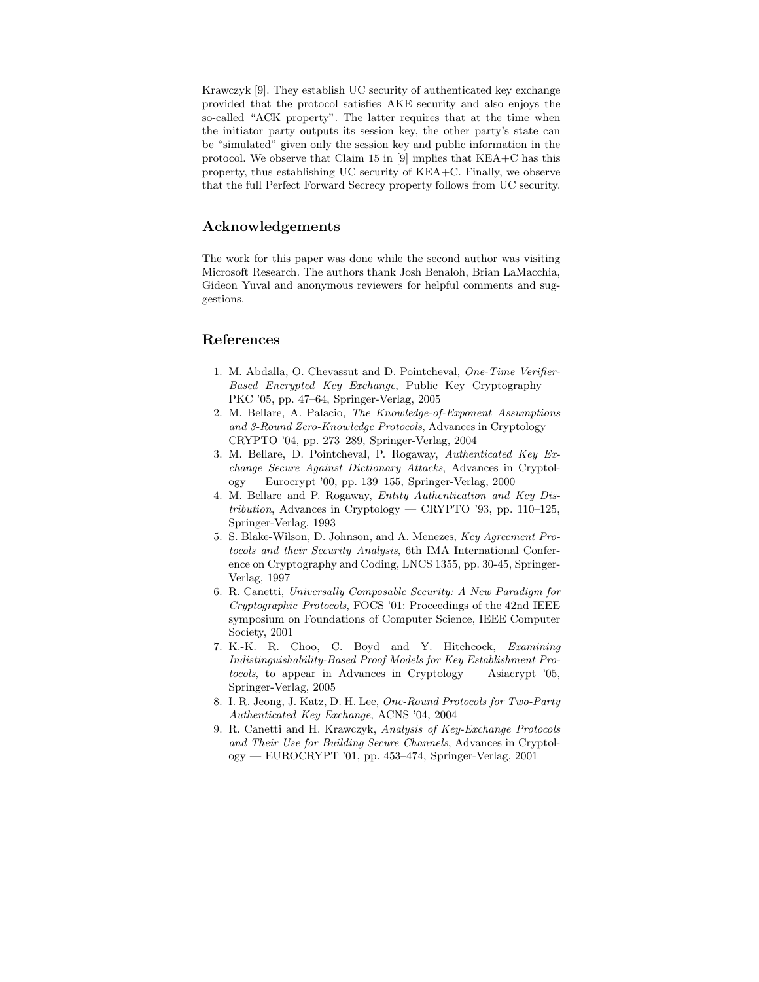Krawczyk [9]. They establish UC security of authenticated key exchange provided that the protocol satisfies AKE security and also enjoys the so-called "ACK property". The latter requires that at the time when the initiator party outputs its session key, the other party's state can be "simulated" given only the session key and public information in the protocol. We observe that Claim 15 in [9] implies that KEA+C has this property, thus establishing UC security of KEA+C. Finally, we observe that the full Perfect Forward Secrecy property follows from UC security.

#### Acknowledgements

The work for this paper was done while the second author was visiting Microsoft Research. The authors thank Josh Benaloh, Brian LaMacchia, Gideon Yuval and anonymous reviewers for helpful comments and suggestions.

## References

- 1. M. Abdalla, O. Chevassut and D. Pointcheval, One-Time Verifier-Based Encrypted Key Exchange, Public Key Cryptography — PKC '05, pp. 47–64, Springer-Verlag, 2005
- 2. M. Bellare, A. Palacio, The Knowledge-of-Exponent Assumptions and 3-Round Zero-Knowledge Protocols, Advances in Cryptology — CRYPTO '04, pp. 273–289, Springer-Verlag, 2004
- 3. M. Bellare, D. Pointcheval, P. Rogaway, Authenticated Key Exchange Secure Against Dictionary Attacks, Advances in Cryptology — Eurocrypt '00, pp. 139–155, Springer-Verlag, 2000
- 4. M. Bellare and P. Rogaway, Entity Authentication and Key Distribution, Advances in Cryptology — CRYPTO '93, pp. 110–125, Springer-Verlag, 1993
- 5. S. Blake-Wilson, D. Johnson, and A. Menezes, Key Agreement Protocols and their Security Analysis, 6th IMA International Conference on Cryptography and Coding, LNCS 1355, pp. 30-45, Springer-Verlag, 1997
- 6. R. Canetti, Universally Composable Security: A New Paradigm for Cryptographic Protocols, FOCS '01: Proceedings of the 42nd IEEE symposium on Foundations of Computer Science, IEEE Computer Society, 2001
- 7. K.-K. R. Choo, C. Boyd and Y. Hitchcock, Examining Indistinguishability-Based Proof Models for Key Establishment Protocols, to appear in Advances in Cryptology — Asiacrypt '05, Springer-Verlag, 2005
- 8. I. R. Jeong, J. Katz, D. H. Lee, One-Round Protocols for Two-Party Authenticated Key Exchange, ACNS '04, 2004
- 9. R. Canetti and H. Krawczyk, Analysis of Key-Exchange Protocols and Their Use for Building Secure Channels, Advances in Cryptology — EUROCRYPT '01, pp. 453–474, Springer-Verlag, 2001